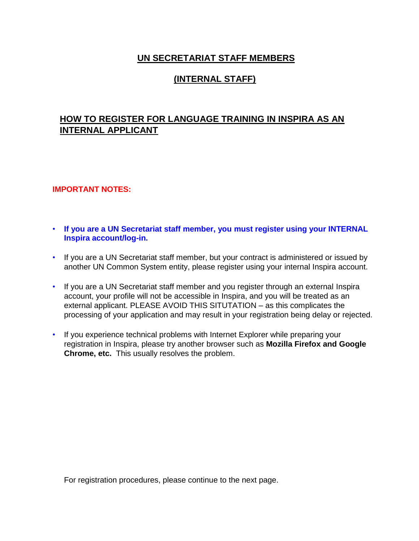# **UN SECRETARIAT STAFF MEMBERS**

# **(INTERNAL STAFF)**

# **HOW TO REGISTER FOR LANGUAGE TRAINING IN INSPIRA AS AN INTERNAL APPLICANT**

### **IMPORTANT NOTES:**

- **If you are a UN Secretariat staff member, you must register using your INTERNAL Inspira account/log-in.**
- If you are a UN Secretariat staff member, but your contract is administered or issued by another UN Common System entity, please register using your internal Inspira account.
- If you are a UN Secretariat staff member and you register through an external Inspira account, your profile will not be accessible in Inspira, and you will be treated as an external applicant. PLEASE AVOID THIS SITUTATION – as this complicates the processing of your application and may result in your registration being delay or rejected.
- If you experience technical problems with Internet Explorer while preparing your registration in Inspira, please try another browser such as **Mozilla Firefox and Google Chrome, etc.** This usually resolves the problem.

For registration procedures, please continue to the next page.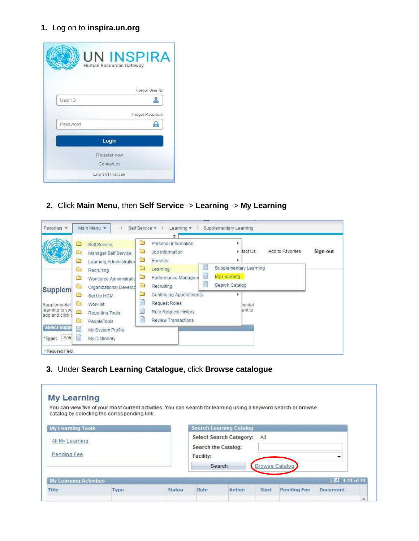# **1.** Log on to **inspira.un.org**

|          | <b>UN INSPIRA</b>       |
|----------|-------------------------|
|          | Human Resources Gateway |
|          |                         |
|          | Forgot User ID          |
| User ID  |                         |
|          | Forgot Password         |
| Password |                         |
|          | Login                   |
|          | Register now            |
|          | Contact us              |
|          | English   Français      |

**2.** Click **Main Menu**, then **Self Service** -> **Learning** -> **My Learning**

|                                                               |                                                                                | ÷                                                                                                                          |          |
|---------------------------------------------------------------|--------------------------------------------------------------------------------|----------------------------------------------------------------------------------------------------------------------------|----------|
|                                                               | ≘<br>Self Service<br>□<br>Manager Self Service<br>Learning Administration      | Personal Information<br>Add to Favorites<br>▭<br>$\triangleright$ tact Us<br>Job Information<br>a a<br>Benefits<br>Ъ       | Sign out |
|                                                               | □<br>Recruiting<br>a<br>Workforce Administratio<br>Ò<br>Organizational Develop | Supplementary Learning<br>▭<br>Learning<br>≣<br>My Learning<br>o<br>Performance Managem<br>Search Catalog<br>Recruiting    |          |
| Supplem<br>Supplemental<br>learning to you<br>add and click t | ▭<br>Set Up HCM<br>□<br>Worklist<br>Ġ<br>Reporting Tools<br>PeopleTools<br>□   | Continuing Appointments<br>≝<br>Request Roles<br>hental<br>ant to<br>Ë<br>Role Request History<br>Ë<br>Review Transactions |          |
| <b>Select Suppl</b><br>Sele<br>*Type:                         | E<br>My System Profile<br>Ë<br>My Dictionary                                   |                                                                                                                            |          |

**3.** Under **Search Learning Catalogue,** click **Browse catalogue**

|                                | You can view five of your most current activities. You can search for learning using a keyword search or browse<br>catalog by selecting the corresponding link. |               |                                  |                                |                       |                    |              |  |
|--------------------------------|-----------------------------------------------------------------------------------------------------------------------------------------------------------------|---------------|----------------------------------|--------------------------------|-----------------------|--------------------|--------------|--|
| <b>My Learning Tools</b>       |                                                                                                                                                                 |               |                                  | <b>Search Learning Catalog</b> |                       |                    |              |  |
| All My Learning<br>Pending Fee |                                                                                                                                                                 |               | Search the Catalog:<br>Facility: | Select Search Category:        | All                   |                    |              |  |
|                                |                                                                                                                                                                 |               |                                  | Search                         | <b>Browse Catalog</b> |                    |              |  |
| <b>My Learning Activities</b>  |                                                                                                                                                                 |               |                                  |                                |                       |                    | 2 1-11 of 11 |  |
| Title                          | Type                                                                                                                                                            | <b>Status</b> | <b>Date</b>                      | Action                         | <b>Start</b>          | <b>Pending Fee</b> | Document     |  |
|                                |                                                                                                                                                                 |               |                                  |                                |                       |                    |              |  |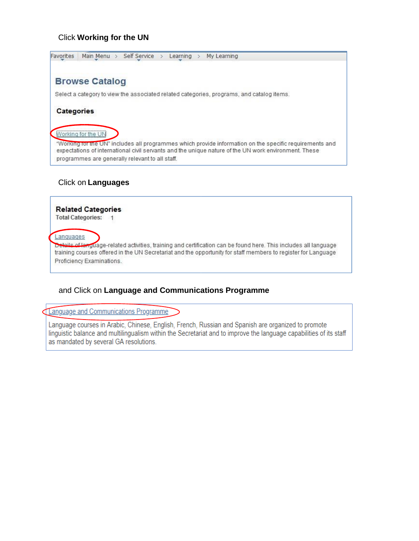### Click **Working for the UN**

Favorites | Main Menu > Self Service > Learning > My Learning **Browse Catalog** Select a category to view the associated related categories, programs, and catalog items. **Categories** Working for the UN "Working for the UN" includes all programmes which provide information on the specific requirements and expectations of international civil servants and the unique nature of the UN work environment. These programmes are generally relevant to all staff.

### Click on **Languages**

**Related Categories** Total Categories: 1 Languages Deteils of language-related activities, training and certification can be found here. This includes all language training courses offered in the UN Secretariat and the opportunity for staff members to register for Language Proficiency Examinations.

## and Click on **Language and Communications Programme**

Language and Communications Programme

Language courses in Arabic, Chinese, English, French, Russian and Spanish are organized to promote linguistic balance and multilingualism within the Secretariat and to improve the language capabilities of its staff as mandated by several GA resolutions.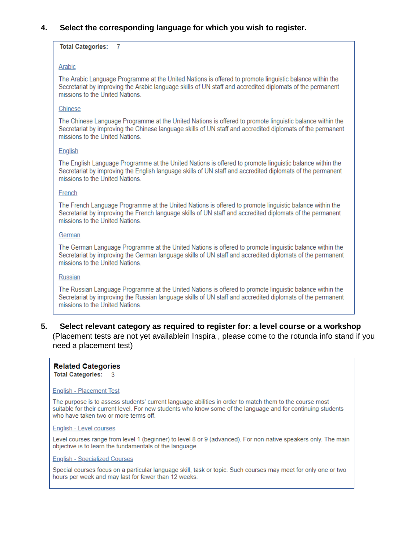## **4. Select the corresponding language for which you wish to register.**

#### **Total Categories: 7**

#### Arabic

The Arabic Language Programme at the United Nations is offered to promote linguistic balance within the Secretariat by improving the Arabic language skills of UN staff and accredited diplomats of the permanent missions to the United Nations.

#### Chinese

The Chinese Language Programme at the United Nations is offered to promote linguistic balance within the Secretariat by improving the Chinese language skills of UN staff and accredited diplomats of the permanent missions to the United Nations.

#### English

The English Language Programme at the United Nations is offered to promote linguistic balance within the Secretariat by improving the English language skills of UN staff and accredited diplomats of the permanent missions to the United Nations.

#### French

The French Language Programme at the United Nations is offered to promote linguistic balance within the Secretariat by improving the French language skills of UN staff and accredited diplomats of the permanent missions to the United Nations.

#### German

The German Language Programme at the United Nations is offered to promote linguistic balance within the Secretariat by improving the German language skills of UN staff and accredited diplomats of the permanent missions to the United Nations.

#### Russian

The Russian Language Programme at the United Nations is offered to promote linguistic balance within the Secretariat by improving the Russian language skills of UN staff and accredited diplomats of the permanent missions to the United Nations.

## **5. Select relevant category as required to register for: a level course or a workshop**

(Placement tests are not yet availablein Inspira , please come to the rotunda info stand if you need a placement test)

#### **Related Categories**

**Total Categories:** ୍ତ

#### **English - Placement Test**

The purpose is to assess students' current language abilities in order to match them to the course most suitable for their current level. For new students who know some of the language and for continuing students who have taken two or more terms off.

#### English - Level courses

Level courses range from level 1 (beginner) to level 8 or 9 (advanced). For non-native speakers only. The main objective is to learn the fundamentals of the language.

#### **English - Specialized Courses**

Special courses focus on a particular language skill, task or topic. Such courses may meet for only one or two hours per week and may last for fewer than 12 weeks.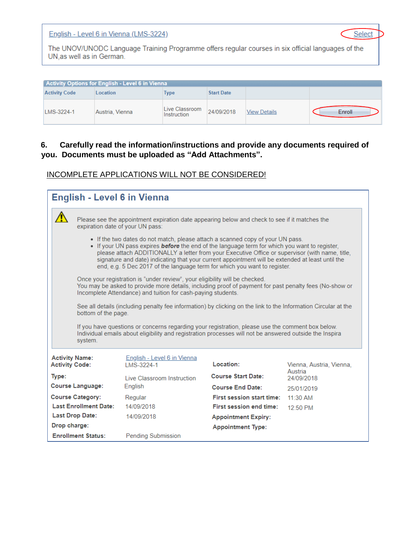English - Level 6 in Vienna (LMS-3224)

Select

The UNOV/UNODC Language Training Programme offers regular courses in six official languages of the UN, as well as in German.

|                      | Activity Options for English - Level 6 in Vienna |                               |                   |                     |        |
|----------------------|--------------------------------------------------|-------------------------------|-------------------|---------------------|--------|
| <b>Activity Code</b> | Location                                         | <b>Type</b>                   | <b>Start Date</b> |                     |        |
| LMS-3224-1           | Austria, Vienna                                  | Live Classroom<br>Instruction | 24/09/2018        | <b>View Details</b> | Enroll |

# **6. Carefully read the information/instructions and provide any documents required of you. Documents must be uploaded as "Add Attachments".**

|                                                                                                                                                                                                                                                                                                                                                                                                                                                                            |                                | <b>English - Level 6 in Vienna</b>                                                                                                                                                                                                                                                                                            |                                  |                          |  |  |
|----------------------------------------------------------------------------------------------------------------------------------------------------------------------------------------------------------------------------------------------------------------------------------------------------------------------------------------------------------------------------------------------------------------------------------------------------------------------------|--------------------------------|-------------------------------------------------------------------------------------------------------------------------------------------------------------------------------------------------------------------------------------------------------------------------------------------------------------------------------|----------------------------------|--------------------------|--|--|
|                                                                                                                                                                                                                                                                                                                                                                                                                                                                            |                                | Please see the appointment expiration date appearing below and check to see if it matches the<br>expiration date of your UN pass:                                                                                                                                                                                             |                                  |                          |  |  |
| • If the two dates do not match, please attach a scanned copy of your UN pass.<br>. If your UN pass expires <b>before</b> the end of the language term for which you want to register,<br>please attach ADDITIONALLY a letter from your Executive Office or supervisor (with name, title,<br>signature and date) indicating that your current appointment will be extended at least until the<br>end, e.g. 5 Dec 2017 of the language term for which you want to register. |                                |                                                                                                                                                                                                                                                                                                                               |                                  |                          |  |  |
|                                                                                                                                                                                                                                                                                                                                                                                                                                                                            |                                | Once your registration is "under review", your eligibility will be checked.<br>You may be asked to provide more details, including proof of payment for past penalty fees (No-show or<br>Incomplete Attendance) and tuition for cash-paying students.                                                                         |                                  |                          |  |  |
|                                                                                                                                                                                                                                                                                                                                                                                                                                                                            | bottom of the page.<br>system. | See all details (including penalty fee information) by clicking on the link to the Information Circular at the<br>If you have questions or concerns regarding your registration, please use the comment box below.<br>Individual emails about eligibility and registration processes will not be answered outside the Inspira |                                  |                          |  |  |
| <b>Activity Name:</b><br><b>Activity Code:</b>                                                                                                                                                                                                                                                                                                                                                                                                                             |                                | <b>English - Level 6 in Vienna</b><br>I MS-3224-1                                                                                                                                                                                                                                                                             | Location:                        | Vienna, Austria, Vienna, |  |  |
| Type:                                                                                                                                                                                                                                                                                                                                                                                                                                                                      |                                | Live Classroom Instruction                                                                                                                                                                                                                                                                                                    | <b>Course Start Date:</b>        | Austria<br>24/09/2018    |  |  |
|                                                                                                                                                                                                                                                                                                                                                                                                                                                                            | <b>Course Language:</b>        | English                                                                                                                                                                                                                                                                                                                       | <b>Course End Date:</b>          | 25/01/2019               |  |  |
|                                                                                                                                                                                                                                                                                                                                                                                                                                                                            | <b>Course Category:</b>        | Regular                                                                                                                                                                                                                                                                                                                       | <b>First session start time:</b> | $11.30$ AM               |  |  |
|                                                                                                                                                                                                                                                                                                                                                                                                                                                                            | <b>Last Enrollment Date:</b>   | 14/09/2018                                                                                                                                                                                                                                                                                                                    | <b>First session end time:</b>   | $12:50$ PM               |  |  |
|                                                                                                                                                                                                                                                                                                                                                                                                                                                                            | Last Drop Date:                | 14/09/2018                                                                                                                                                                                                                                                                                                                    | <b>Appointment Expiry:</b>       |                          |  |  |
| Drop charge:                                                                                                                                                                                                                                                                                                                                                                                                                                                               |                                |                                                                                                                                                                                                                                                                                                                               | <b>Appointment Type:</b>         |                          |  |  |
|                                                                                                                                                                                                                                                                                                                                                                                                                                                                            | <b>Enrollment Status:</b>      | <b>Pending Submission</b>                                                                                                                                                                                                                                                                                                     |                                  |                          |  |  |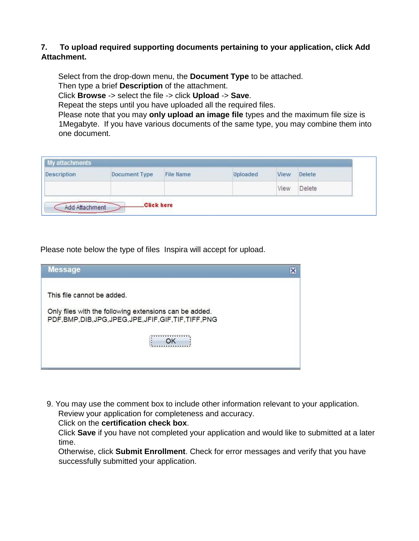## **7. To upload required supporting documents pertaining to your application, click Add Attachment.**

Select from the drop-down menu, the **Document Type** to be attached. Then type a brief **Description** of the attachment.

Click **Browse** -> select the file -> click **Upload** -> **Save**.

Repeat the steps until you have uploaded all the required files.

Please note that you may **only upload an image file** types and the maximum file size is 1Megabyte. If you have various documents of the same type, you may combine them into one document.

| Description | Document Type | File Name | Uploaded | View | Delete |
|-------------|---------------|-----------|----------|------|--------|
|             |               |           |          | View | Delete |

Please note below the type of files Inspira will accept for upload.

| <b>Message</b>                                                                                                                                   |  |
|--------------------------------------------------------------------------------------------------------------------------------------------------|--|
| This file cannot be added.<br>Only files with the following extensions can be added.<br>PDF, BMP, DIB, JPG, JPEG, JPE, JFIF, GIF, TIF, TIFF, PNG |  |

9. You may use the comment box to include other information relevant to your application. Review your application for completeness and accuracy.

Click on the **certification check box**.

Click **Save** if you have not completed your application and would like to submitted at a later time.

Otherwise, click **Submit Enrollment**. Check for error messages and verify that you have successfully submitted your application.